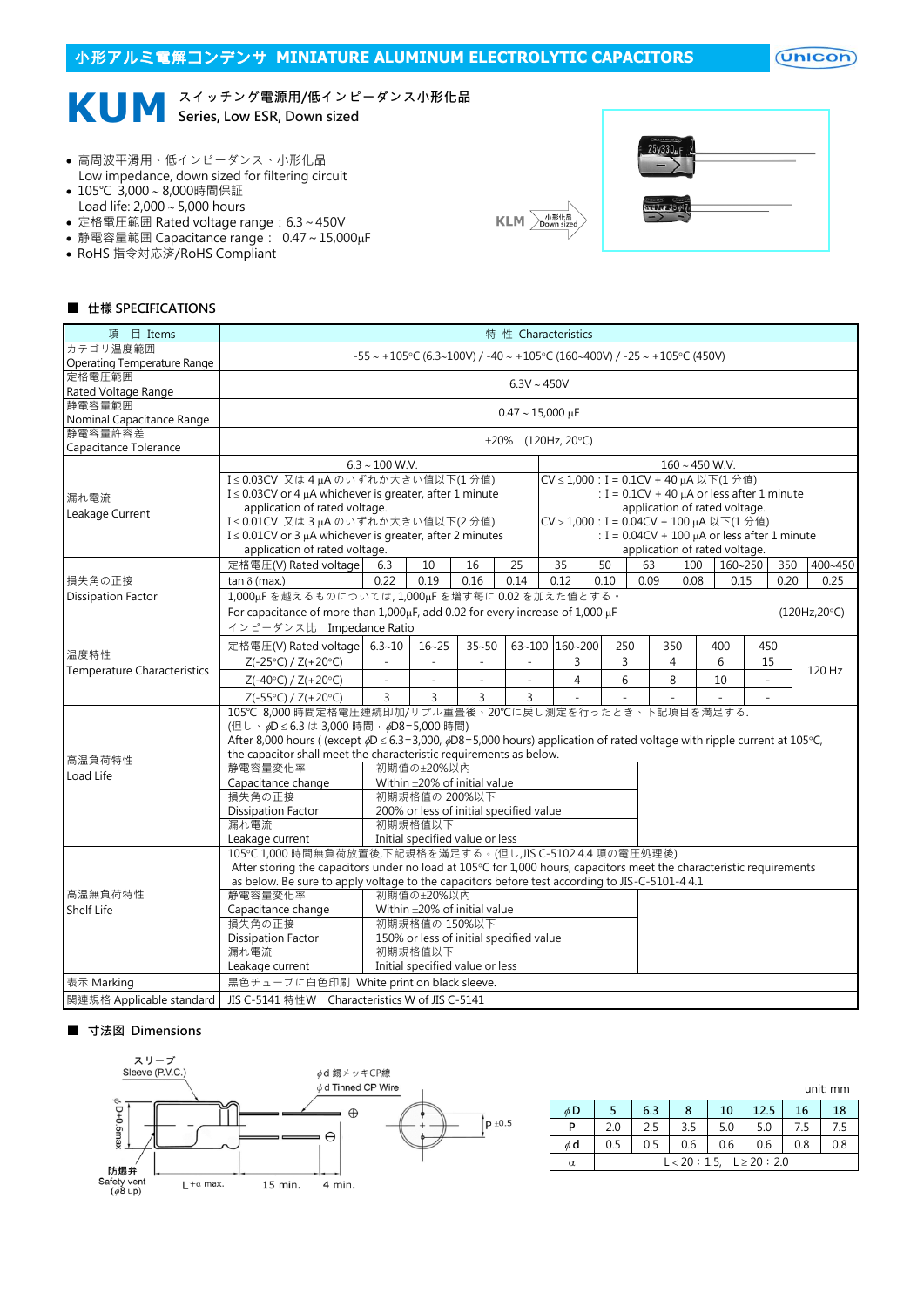## 小形アルミ電解コンデンサ **MINIATURE ALUMINUM ELECTROLYTIC CAPACITORS**

 $($ Unicon $)$ 

## **KUM** <sup>スイッチング電源用/低インピ<br>
Series, Low ESR, Down sized</sup> スイッチング電源用/低インピーダンス小形化品

- 高周波平滑用、低インピーダンス、小形化品 Low impedance, down sized for filtering circuit
- 105℃ 3,000~8,000時間保証 Load life:  $2,000 \sim 5,000$  hours
- 定格電圧範囲 Rated voltage range:6.3~450V
- 静電容量範囲 Capacitance range: 0.47~15,000µF
- RoHS 指令対応済/RoHS Compliant



| 25v330vF            |  |
|---------------------|--|
| anicano<br>Svel/uF3 |  |

#### ■ 仕樣 SPECIFICATIONS

| 項 目 Items                            |                                                                                                                                           | 特 性 Characteristics      |                                                   |                                                                               |                          |  |                          |      |      |                                          |         |                |      |               |  |
|--------------------------------------|-------------------------------------------------------------------------------------------------------------------------------------------|--------------------------|---------------------------------------------------|-------------------------------------------------------------------------------|--------------------------|--|--------------------------|------|------|------------------------------------------|---------|----------------|------|---------------|--|
| カテゴリ温度範囲                             |                                                                                                                                           |                          |                                                   | $-55 \sim +105$ °C (6.3~100V) / -40 ~ +105°C (160~400V) / -25 ~ +105°C (450V) |                          |  |                          |      |      |                                          |         |                |      |               |  |
| Operating Temperature Range          |                                                                                                                                           |                          |                                                   |                                                                               |                          |  |                          |      |      |                                          |         |                |      |               |  |
| 定格電圧範囲                               |                                                                                                                                           | $6.3V \sim 450V$         |                                                   |                                                                               |                          |  |                          |      |      |                                          |         |                |      |               |  |
| Rated Voltage Range                  |                                                                                                                                           |                          |                                                   |                                                                               |                          |  |                          |      |      |                                          |         |                |      |               |  |
| 静電容量範囲                               | $0.47 \sim 15,000 \,\mu F$                                                                                                                |                          |                                                   |                                                                               |                          |  |                          |      |      |                                          |         |                |      |               |  |
| Nominal Capacitance Range<br>静電容量許容差 |                                                                                                                                           |                          |                                                   |                                                                               |                          |  |                          |      |      |                                          |         |                |      |               |  |
| Capacitance Tolerance                |                                                                                                                                           |                          |                                                   |                                                                               |                          |  | $\pm 20\%$ (120Hz, 20°C) |      |      |                                          |         |                |      |               |  |
|                                      |                                                                                                                                           | $6.3 \sim 100$ W.V.      |                                                   |                                                                               |                          |  |                          |      |      | $160 \sim 450$ W.V.                      |         |                |      |               |  |
|                                      | I≤0.03CV 又は4µAのいずれか大きい値以下(1分値)<br>CV ≤ 1,000 : I = 0.1CV + 40 µA 以下(1分值)                                                                  |                          |                                                   |                                                                               |                          |  |                          |      |      |                                          |         |                |      |               |  |
| 漏れ電流                                 | I $\leq$ 0.03CV or 4 $\mu$ A whichever is greater, after 1 minute<br>: $I = 0.1CV + 40 \mu A$ or less after 1 minute                      |                          |                                                   |                                                                               |                          |  |                          |      |      |                                          |         |                |      |               |  |
|                                      | application of rated voltage.<br>application of rated voltage.                                                                            |                          |                                                   |                                                                               |                          |  |                          |      |      |                                          |         |                |      |               |  |
| Leakage Current                      | I≤0.01CV 又は3µAのいずれか大きい値以下(2分値)                                                                                                            |                          |                                                   |                                                                               |                          |  |                          |      |      | CV > 1,000 : I = 0.04CV + 100 µA 以下(1分值) |         |                |      |               |  |
|                                      | $I \leq 0.01$ CV or 3 µA whichever is greater, after 2 minutes                                                                            |                          | : $I = 0.04CV + 100 \mu A$ or less after 1 minute |                                                                               |                          |  |                          |      |      |                                          |         |                |      |               |  |
|                                      | application of rated voltage.                                                                                                             |                          |                                                   |                                                                               |                          |  |                          |      |      | application of rated voltage.            |         |                |      |               |  |
|                                      | 定格電圧(V) Rated voltage                                                                                                                     | 6.3                      | 10                                                | 16                                                                            | 25                       |  | 35                       | 50   | 63   | 100                                      | 160~250 |                | 350  | 400~450       |  |
| 損失角の正接                               | tan $\delta$ (max.)                                                                                                                       | 0.22                     | 0.19                                              | 0.16                                                                          | 0.14                     |  | 0.12                     | 0.10 | 0.09 | 0.08                                     | 0.15    |                | 0.20 | 0.25          |  |
| <b>Dissipation Factor</b>            | 1,000µFを越えるものについては, 1,000µFを増す每に 0.02を加えた値とする。                                                                                            |                          |                                                   |                                                                               |                          |  |                          |      |      |                                          |         |                |      |               |  |
|                                      | For capacitance of more than 1,000µF, add 0.02 for every increase of 1,000 µF                                                             |                          |                                                   |                                                                               |                          |  |                          |      |      |                                          |         |                |      | (120Hz, 20°C) |  |
|                                      | インピーダンス比 Impedance Ratio                                                                                                                  |                          |                                                   |                                                                               |                          |  |                          |      |      |                                          |         |                |      |               |  |
|                                      | 定格電圧(V) Rated voltage 6.3~10                                                                                                              |                          | $16 - 25$                                         | $35 - 50$                                                                     |                          |  | 63~100 160~200           | 250  |      | 350                                      | 400     | 450            |      |               |  |
| 温度特性                                 | Z(-25°C) / Z(+20°C)                                                                                                                       |                          |                                                   |                                                                               |                          |  | 3                        |      | 3    | $\overline{4}$                           | 6       | 15             |      |               |  |
| Temperature Characteristics          | $Z(-40^{\circ}C)$ / $Z(+20^{\circ}C)$                                                                                                     | $\overline{\phantom{a}}$ | $\mathcal{L}$                                     | $\overline{\phantom{a}}$                                                      | $\overline{\phantom{a}}$ |  | $\overline{4}$           |      | 6    | 8                                        | 10      | $\overline{a}$ |      | 120 Hz        |  |
|                                      | $Z(-55°C) / Z(+20°C)$                                                                                                                     | $\overline{3}$           | 3                                                 | 3                                                                             | 3                        |  |                          |      |      |                                          |         | $\overline{a}$ |      |               |  |
|                                      | 105℃ 8,000 時間定格電圧連続印加/リプル重畳後、20℃に戻し測定を行ったとき、下記項目を満足する.                                                                                    |                          |                                                   |                                                                               |                          |  |                          |      |      |                                          |         |                |      |               |  |
|                                      | (但し、 ¢D ≤ 6.3 は 3,000 時間 · ¢D8=5,000 時間)                                                                                                  |                          |                                                   |                                                                               |                          |  |                          |      |      |                                          |         |                |      |               |  |
|                                      | After 8,000 hours ((except $\phi D \le 6.3 = 3,000$ , $\phi D8 = 5,000$ hours) application of rated voltage with ripple current at 105°C, |                          |                                                   |                                                                               |                          |  |                          |      |      |                                          |         |                |      |               |  |
| 高温負荷特性                               | the capacitor shall meet the characteristic requirements as below.                                                                        |                          |                                                   |                                                                               |                          |  |                          |      |      |                                          |         |                |      |               |  |
| Load Life                            | 静電容量変化率                                                                                                                                   |                          | 初期值の±20%以内                                        |                                                                               |                          |  |                          |      |      |                                          |         |                |      |               |  |
|                                      | Capacitance change                                                                                                                        |                          |                                                   | Within ±20% of initial value                                                  |                          |  |                          |      |      |                                          |         |                |      |               |  |
|                                      | 損失角の正接                                                                                                                                    |                          | 初期規格值の 200%以下                                     |                                                                               |                          |  |                          |      |      |                                          |         |                |      |               |  |
|                                      | <b>Dissipation Factor</b>                                                                                                                 |                          |                                                   | 200% or less of initial specified value                                       |                          |  |                          |      |      |                                          |         |                |      |               |  |
|                                      | 漏れ電流                                                                                                                                      |                          | 初期規格值以下                                           |                                                                               |                          |  |                          |      |      |                                          |         |                |      |               |  |
|                                      | Leakage current                                                                                                                           |                          |                                                   | Initial specified value or less                                               |                          |  |                          |      |      |                                          |         |                |      |               |  |
|                                      | 105℃1,000 時間無負荷放置後,下記規格を滿足する。(但し,JIS C-5102 4.4 項の電圧処理後)                                                                                  |                          |                                                   |                                                                               |                          |  |                          |      |      |                                          |         |                |      |               |  |
|                                      | After storing the capacitors under no load at 105°C for 1,000 hours, capacitors meet the characteristic requirements                      |                          |                                                   |                                                                               |                          |  |                          |      |      |                                          |         |                |      |               |  |
| 高温無負荷特性                              | as below. Be sure to apply voltage to the capacitors before test according to JIS-C-5101-4 4.1<br>静電容量変化率                                 |                          | 初期值の±20%以内                                        |                                                                               |                          |  |                          |      |      |                                          |         |                |      |               |  |
|                                      |                                                                                                                                           |                          |                                                   | Within ±20% of initial value                                                  |                          |  |                          |      |      |                                          |         |                |      |               |  |
| Shelf Life                           | Capacitance change<br>損失角の正接                                                                                                              |                          | 初期規格值の 150%以下                                     |                                                                               |                          |  |                          |      |      |                                          |         |                |      |               |  |
|                                      |                                                                                                                                           |                          |                                                   | 150% or less of initial specified value                                       |                          |  |                          |      |      |                                          |         |                |      |               |  |
|                                      | <b>Dissipation Factor</b><br>漏れ電流                                                                                                         |                          | 初期規格值以下                                           |                                                                               |                          |  |                          |      |      |                                          |         |                |      |               |  |
|                                      | Leakage current                                                                                                                           |                          |                                                   | Initial specified value or less                                               |                          |  |                          |      |      |                                          |         |                |      |               |  |
| 表示 Marking                           | 黒色チューブに白色印刷 White print on black sleeve.                                                                                                  |                          |                                                   |                                                                               |                          |  |                          |      |      |                                          |         |                |      |               |  |
|                                      |                                                                                                                                           |                          |                                                   |                                                                               |                          |  |                          |      |      |                                          |         |                |      |               |  |
| 関連規格 Applicable standard             | JIS C-5141 特性W Characteristics W of JIS C-5141                                                                                            |                          |                                                   |                                                                               |                          |  |                          |      |      |                                          |         |                |      |               |  |

#### ■ 寸法図 Dimensions



|          | unit: mm |                                |     |     |      |     |     |  |  |  |  |  |
|----------|----------|--------------------------------|-----|-----|------|-----|-----|--|--|--|--|--|
| $\phi$ D |          | 6.3                            | 8   | 10  | 12.5 | 16  | 18  |  |  |  |  |  |
| P        | 2.0      | 2.5                            | 3.5 | 5.0 | 5.0  | 7.5 | 7.5 |  |  |  |  |  |
| $\phi$ d | 0.5      | 0.5                            | 0.6 | 0.6 | 0.6  | 0.8 | 0.8 |  |  |  |  |  |
| α        |          | $L < 20 : 1.5, L \ge 20 : 2.0$ |     |     |      |     |     |  |  |  |  |  |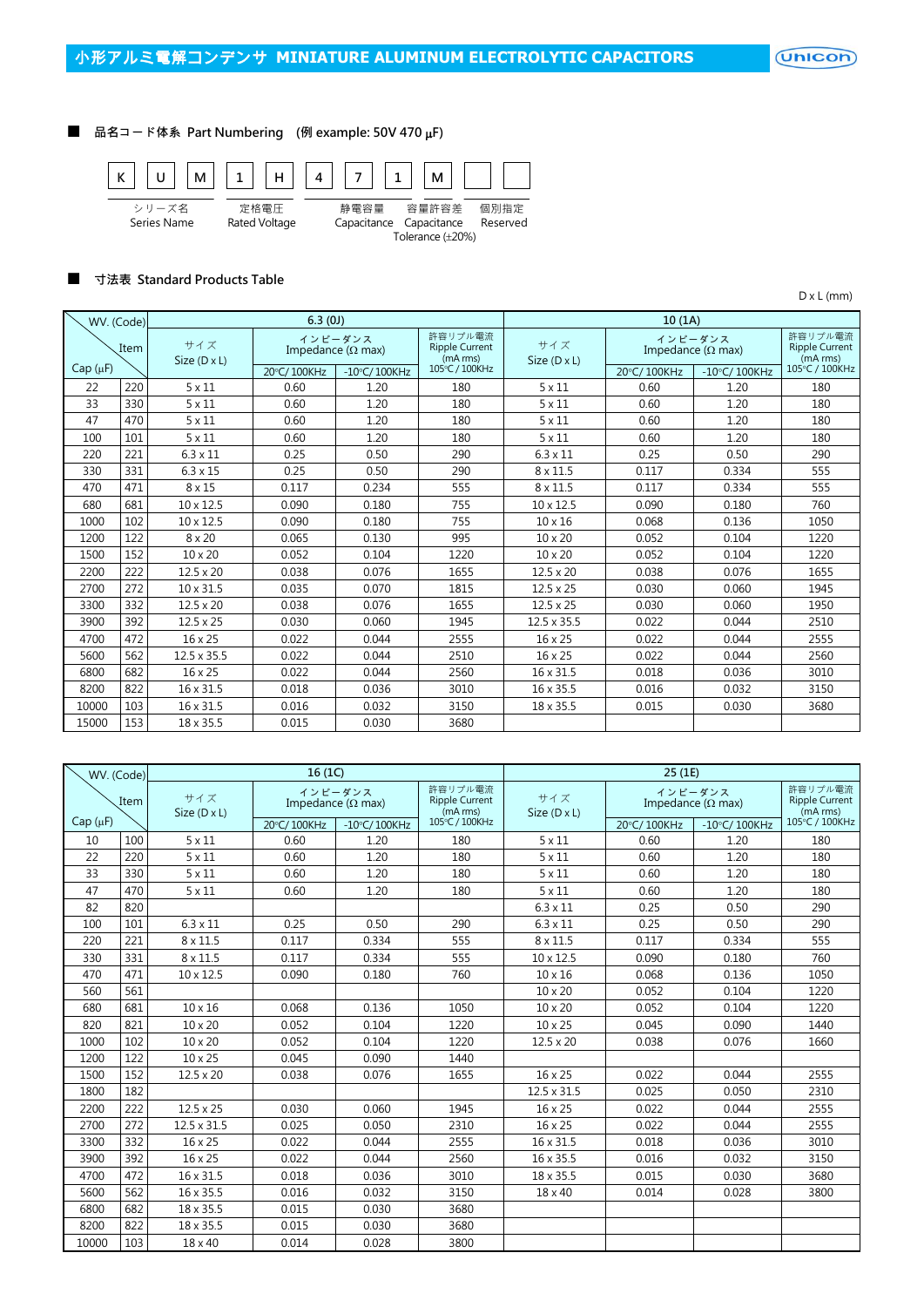$($ Unicon $)$ 

#### ■ 品名コード体系 Part Numbering (例 example: 50V 470 µF)



#### ■ 寸法表 Standard Products Table

D x L (mm)

| WV. (Code)   |      |                            | 6.3(0J)     |                                      |                                              |                     | 10(1A)                               |                                              |                |
|--------------|------|----------------------------|-------------|--------------------------------------|----------------------------------------------|---------------------|--------------------------------------|----------------------------------------------|----------------|
|              | Item | サイズ<br>Size $(D \times L)$ |             | インピーダンス<br>Impedance ( $\Omega$ max) | 許容リプル電流<br><b>Ripple Current</b><br>(mA rms) | サイズ<br>Size (D x L) | インピーダンス<br>Impedance ( $\Omega$ max) | 許容リプル電流<br><b>Ripple Current</b><br>(mA rms) |                |
| $Cap(\mu F)$ |      |                            | 20°C/100KHz | $-10^{\circ}$ C/100KHz               | 105°C / 100KHz                               |                     | 20°C/100KHz                          | $-10^{\circ}$ C/100KHz                       | 105°C / 100KHz |
| 22           | 220  | $5 \times 11$              | 0.60        | 1.20                                 | 180                                          | $5 \times 11$       | 0.60                                 | 1.20                                         | 180            |
| 33           | 330  | $5 \times 11$              | 0.60        | 1.20                                 | 180                                          | $5 \times 11$       | 0.60                                 | 1.20                                         | 180            |
| 47           | 470  | $5 \times 11$              | 0.60        | 1.20                                 | 180                                          | $5 \times 11$       | 0.60                                 | 1.20                                         | 180            |
| 100          | 101  | $5 \times 11$              | 0.60        | 1.20                                 | 180                                          | $5 \times 11$       | 0.60                                 | 1.20                                         | 180            |
| 220          | 221  | $6.3 \times 11$            | 0.25        | 0.50                                 | 290                                          | $6.3 \times 11$     | 0.25                                 | 0.50                                         | 290            |
| 330          | 331  | $6.3 \times 15$            | 0.25        | 0.50                                 | 290                                          | $8 \times 11.5$     | 0.117                                | 0.334                                        | 555            |
| 470          | 471  | $8 \times 15$              | 0.117       | 0.234                                | 555                                          | 8 x 11.5            | 0.117                                | 0.334                                        | 555            |
| 680          | 681  | $10 \times 12.5$           | 0.090       | 0.180                                | 755                                          | $10 \times 12.5$    | 0.090                                | 0.180                                        | 760            |
| 1000         | 102  | $10 \times 12.5$           | 0.090       | 0.180                                | 755                                          | $10 \times 16$      | 0.068                                | 0.136                                        | 1050           |
| 1200         | 122  | $8 \times 20$              | 0.065       | 0.130                                | 995                                          | $10 \times 20$      | 0.052                                | 0.104                                        | 1220           |
| 1500         | 152  | 10 x 20                    | 0.052       | 0.104                                | 1220                                         | $10 \times 20$      | 0.052                                | 0.104                                        | 1220           |
| 2200         | 222  | $12.5 \times 20$           | 0.038       | 0.076                                | 1655                                         | $12.5 \times 20$    | 0.038                                | 0.076                                        | 1655           |
| 2700         | 272  | $10 \times 31.5$           | 0.035       | 0.070                                | 1815                                         | $12.5 \times 25$    | 0.030                                | 0.060                                        | 1945           |
| 3300         | 332  | $12.5 \times 20$           | 0.038       | 0.076                                | 1655                                         | $12.5 \times 25$    | 0.030                                | 0.060                                        | 1950           |
| 3900         | 392  | $12.5 \times 25$           | 0.030       | 0.060                                | 1945                                         | $12.5 \times 35.5$  | 0.022                                | 0.044                                        | 2510           |
| 4700         | 472  | 16 x 25                    | 0.022       | 0.044                                | 2555                                         | 16 x 25             | 0.022                                | 0.044                                        | 2555           |
| 5600         | 562  | $12.5 \times 35.5$         | 0.022       | 0.044                                | 2510                                         | 16 x 25             | 0.022                                | 0.044                                        | 2560           |
| 6800         | 682  | $16 \times 25$             | 0.022       | 0.044                                | 2560                                         | 16 x 31.5           | 0.018                                | 0.036                                        | 3010           |
| 8200         | 822  | 16 x 31.5                  | 0.018       | 0.036                                | 3010                                         | 16 x 35.5           | 0.016                                | 0.032                                        | 3150           |
| 10000        | 103  | 16 x 31.5                  | 0.016       | 0.032                                | 3150                                         | 18 x 35.5           | 0.015                                | 0.030                                        | 3680           |
| 15000        | 153  | 18 x 35.5                  | 0.015       | 0.030                                | 3680                                         |                     |                                      |                                              |                |

| WV. (Code)   |      |                     | 16(1C)      |                                      |                                              |                     | 25 (1E)     |                                      |                                              |
|--------------|------|---------------------|-------------|--------------------------------------|----------------------------------------------|---------------------|-------------|--------------------------------------|----------------------------------------------|
|              | Item | サイズ<br>Size (D x L) |             | インピーダンス<br>Impedance ( $\Omega$ max) | 許容リプル電流<br><b>Ripple Current</b><br>(mA rms) | サイズ<br>Size (D x L) |             | インピーダンス<br>Impedance ( $\Omega$ max) | 許容リプル電流<br><b>Ripple Current</b><br>(mA rms) |
| $Cap(\mu F)$ |      |                     | 20°C/100KHz | $-10$ °C/100KHz                      | 105°C / 100KHz                               |                     | 20°C/100KHz | $-10\degree$ C/100KHz                | 105°C / 100KHz                               |
| 10           | 100  | $5 \times 11$       | 0.60        | 1.20                                 | 180                                          | $5 \times 11$       | 0.60        | 1.20                                 | 180                                          |
| 22           | 220  | $5 \times 11$       | 0.60        | 1.20                                 | 180                                          | $5 \times 11$       | 0.60        | 1.20                                 | 180                                          |
| 33           | 330  | $5 \times 11$       | 0.60        | 1.20                                 | 180                                          | $5 \times 11$       | 0.60        | 1.20                                 | 180                                          |
| 47           | 470  | $5 \times 11$       | 0.60        | 1.20                                 | 180                                          | $5 \times 11$       | 0.60        | 1.20                                 | 180                                          |
| 82           | 820  |                     |             |                                      |                                              | $6.3 \times 11$     | 0.25        | 0.50                                 | 290                                          |
| 100          | 101  | $6.3 \times 11$     | 0.25        | 0.50                                 | 290                                          | $6.3 \times 11$     | 0.25        | 0.50                                 | 290                                          |
| 220          | 221  | $8 \times 11.5$     | 0.117       | 0.334                                | 555                                          | 8 x 11.5            | 0.117       | 0.334                                | 555                                          |
| 330          | 331  | $8 \times 11.5$     | 0.117       | 0.334                                | 555                                          | 10 x 12.5           | 0.090       | 0.180                                | 760                                          |
| 470          | 471  | 10 x 12.5           | 0.090       | 0.180                                | 760                                          | $10 \times 16$      | 0.068       | 0.136                                | 1050                                         |
| 560          | 561  |                     |             |                                      |                                              | 10 x 20             | 0.052       | 0.104                                | 1220                                         |
| 680          | 681  | $10 \times 16$      | 0.068       | 0.136                                | 1050                                         | $10 \times 20$      | 0.052       | 0.104                                | 1220                                         |
| 820          | 821  | 10 x 20             | 0.052       | 0.104                                | 1220                                         | 10 x 25             | 0.045       | 0.090                                | 1440                                         |
| 1000         | 102  | 10 x 20             | 0.052       | 0.104                                | 1220                                         | $12.5 \times 20$    | 0.038       | 0.076                                | 1660                                         |
| 1200         | 122  | 10 x 25             | 0.045       | 0.090                                | 1440                                         |                     |             |                                      |                                              |
| 1500         | 152  | $12.5 \times 20$    | 0.038       | 0.076                                | 1655                                         | 16 x 25             | 0.022       | 0.044                                | 2555                                         |
| 1800         | 182  |                     |             |                                      |                                              | 12.5 x 31.5         | 0.025       | 0.050                                | 2310                                         |
| 2200         | 222  | $12.5 \times 25$    | 0.030       | 0.060                                | 1945                                         | 16 x 25             | 0.022       | 0.044                                | 2555                                         |
| 2700         | 272  | 12.5 x 31.5         | 0.025       | 0.050                                | 2310                                         | 16 x 25             | 0.022       | 0.044                                | 2555                                         |
| 3300         | 332  | 16 x 25             | 0.022       | 0.044                                | 2555                                         | 16 x 31.5           | 0.018       | 0.036                                | 3010                                         |
| 3900         | 392  | 16 x 25             | 0.022       | 0.044                                | 2560                                         | 16 x 35.5           | 0.016       | 0.032                                | 3150                                         |
| 4700         | 472  | 16 x 31.5           | 0.018       | 0.036                                | 3010                                         | 18 x 35.5           | 0.015       | 0.030                                | 3680                                         |
| 5600         | 562  | 16 x 35.5           | 0.016       | 0.032                                | 3150                                         | $18 \times 40$      | 0.014       | 0.028                                | 3800                                         |
| 6800         | 682  | 18 x 35.5           | 0.015       | 0.030                                | 3680                                         |                     |             |                                      |                                              |
| 8200         | 822  | 18 x 35.5           | 0.015       | 0.030                                | 3680                                         |                     |             |                                      |                                              |
| 10000        | 103  | 18 x 40             | 0.014       | 0.028                                | 3800                                         |                     |             |                                      |                                              |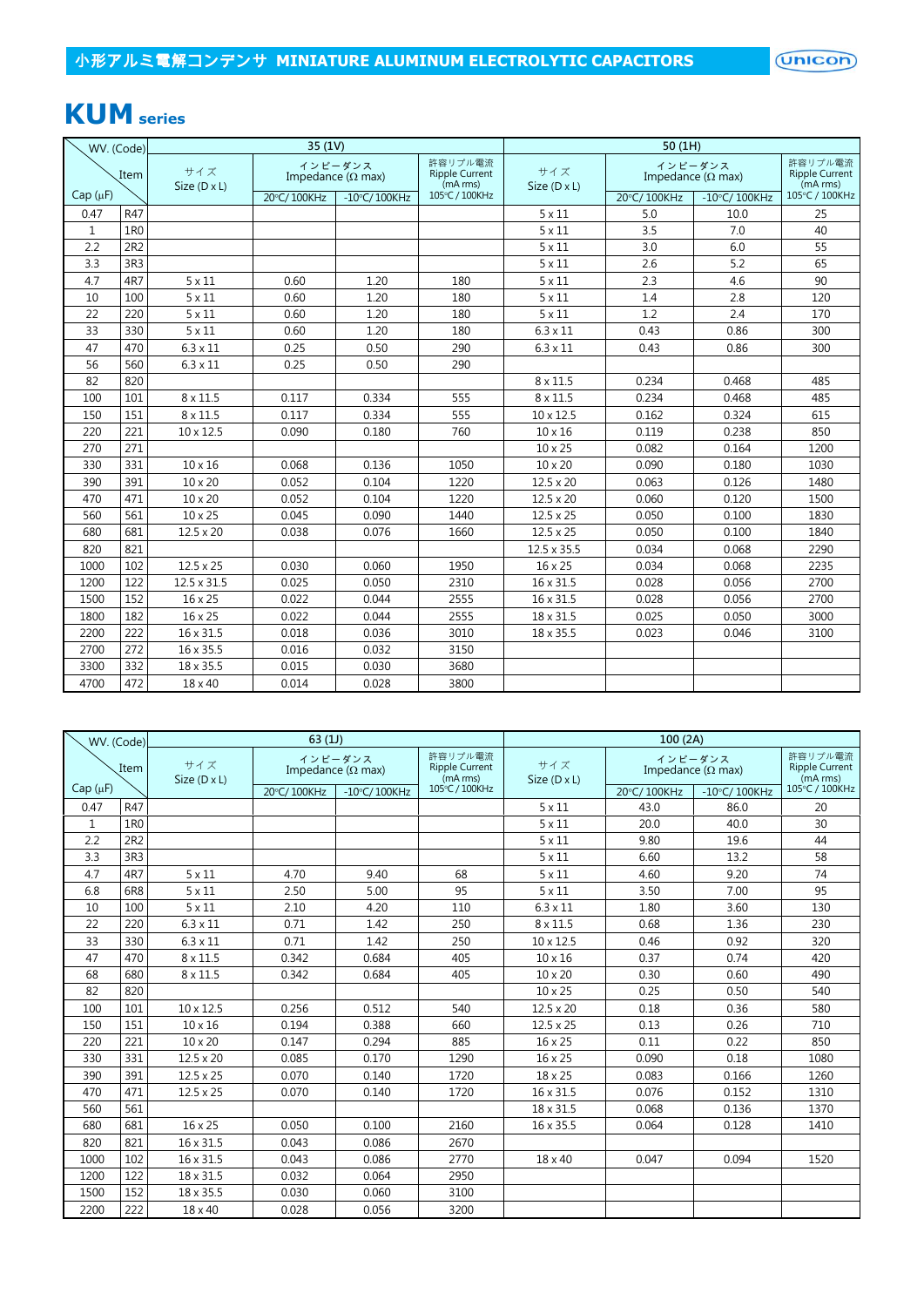# **KUM series**

| WV. (Code)   |      |                            | 35(1V)      |                                      |                                              | 50(1H)                     |             |                                      |                                              |  |  |
|--------------|------|----------------------------|-------------|--------------------------------------|----------------------------------------------|----------------------------|-------------|--------------------------------------|----------------------------------------------|--|--|
|              | Item | サイズ<br>Size $(D \times L)$ |             | インピーダンス<br>Impedance ( $\Omega$ max) | 許容リプル電流<br><b>Ripple Current</b><br>(mA rms) | サイズ<br>Size $(D \times L)$ |             | インピーダンス<br>Impedance ( $\Omega$ max) | 許容リプル電流<br><b>Ripple Current</b><br>(mA rms) |  |  |
| $Cap(\mu F)$ |      |                            | 20°C/100KHz | $-10^{\circ}$ C/100KHz               | 105°C / 100KHz                               |                            | 20°C/100KHz | $-10^{\circ}$ C/100KHz               | 105°C / 100KHz                               |  |  |
| 0.47         | R47  |                            |             |                                      |                                              | $5 \times 11$              | 5.0         | 10.0                                 | 25                                           |  |  |
| $\mathbf{1}$ | 1R0  |                            |             |                                      |                                              | $5 \times 11$              | 3.5         | 7.0                                  | 40                                           |  |  |
| 2.2          | 2R2  |                            |             |                                      |                                              | $5 \times 11$              | 3.0         | 6.0                                  | 55                                           |  |  |
| 3.3          | 3R3  |                            |             |                                      |                                              | $5 \times 11$              | 2.6         | 5.2                                  | 65                                           |  |  |
| 4.7          | 4R7  | $5 \times 11$              | 0.60        | 1.20                                 | 180                                          | $5 \times 11$              | 2.3         | 4.6                                  | 90                                           |  |  |
| 10           | 100  | $5 \times 11$              | 0.60        | 1.20                                 | 180                                          | $5 \times 11$              | 1.4         | 2.8                                  | 120                                          |  |  |
| 22           | 220  | $5 \times 11$              | 0.60        | 1.20                                 | 180                                          | $5 \times 11$              | 1.2         | 2.4                                  | 170                                          |  |  |
| 33           | 330  | $5 \times 11$              | 0.60        | 1.20                                 | 180                                          | $6.3 \times 11$            | 0.43        | 0.86                                 | 300                                          |  |  |
| 47           | 470  | $6.3 \times 11$            | 0.25        | 0.50                                 | 290                                          | $6.3 \times 11$            | 0.43        | 0.86                                 | 300                                          |  |  |
| 56           | 560  | $6.3 \times 11$            | 0.25        | 0.50                                 | 290                                          |                            |             |                                      |                                              |  |  |
| 82           | 820  |                            |             |                                      |                                              | $8 \times 11.5$            | 0.234       | 0.468                                | 485                                          |  |  |
| 100          | 101  | $8 \times 11.5$            | 0.117       | 0.334                                | 555                                          | 8 x 11.5                   | 0.234       | 0.468                                | 485                                          |  |  |
| 150          | 151  | $8 \times 11.5$            | 0.117       | 0.334                                | 555                                          | $10 \times 12.5$           | 0.162       | 0.324                                | 615                                          |  |  |
| 220          | 221  | $10 \times 12.5$           | 0.090       | 0.180                                | 760                                          | $10 \times 16$             | 0.119       | 0.238                                | 850                                          |  |  |
| 270          | 271  |                            |             |                                      |                                              | 10 x 25                    | 0.082       | 0.164                                | 1200                                         |  |  |
| 330          | 331  | $10 \times 16$             | 0.068       | 0.136                                | 1050                                         | 10 x 20                    | 0.090       | 0.180                                | 1030                                         |  |  |
| 390          | 391  | $10 \times 20$             | 0.052       | 0.104                                | 1220                                         | $12.5 \times 20$           | 0.063       | 0.126                                | 1480                                         |  |  |
| 470          | 471  | $10 \times 20$             | 0.052       | 0.104                                | 1220                                         | $12.5 \times 20$           | 0.060       | 0.120                                | 1500                                         |  |  |
| 560          | 561  | $10 \times 25$             | 0.045       | 0.090                                | 1440                                         | $12.5 \times 25$           | 0.050       | 0.100                                | 1830                                         |  |  |
| 680          | 681  | $12.5 \times 20$           | 0.038       | 0.076                                | 1660                                         | $12.5 \times 25$           | 0.050       | 0.100                                | 1840                                         |  |  |
| 820          | 821  |                            |             |                                      |                                              | 12.5 x 35.5                | 0.034       | 0.068                                | 2290                                         |  |  |
| 1000         | 102  | $12.5 \times 25$           | 0.030       | 0.060                                | 1950                                         | 16 x 25                    | 0.034       | 0.068                                | 2235                                         |  |  |
| 1200         | 122  | 12.5 x 31.5                | 0.025       | 0.050                                | 2310                                         | 16 x 31.5                  | 0.028       | 0.056                                | 2700                                         |  |  |
| 1500         | 152  | 16 x 25                    | 0.022       | 0.044                                | 2555                                         | 16 x 31.5                  | 0.028       | 0.056                                | 2700                                         |  |  |
| 1800         | 182  | $16 \times 25$             | 0.022       | 0.044                                | 2555                                         | 18 x 31.5                  | 0.025       | 0.050                                | 3000                                         |  |  |
| 2200         | 222  | 16 x 31.5                  | 0.018       | 0.036                                | 3010                                         | 18 x 35.5                  | 0.023       | 0.046                                | 3100                                         |  |  |
| 2700         | 272  | 16 x 35.5                  | 0.016       | 0.032                                | 3150                                         |                            |             |                                      |                                              |  |  |
| 3300         | 332  | 18 x 35.5                  | 0.015       | 0.030                                | 3680                                         |                            |             |                                      |                                              |  |  |
| 4700         | 472  | 18 x 40                    | 0.014       | 0.028                                | 3800                                         |                            |             |                                      |                                              |  |  |

|              | WV. (Code) |                            | 63(1)       |                                      |                                              |                            | 100(2A)                   |                        |                                              |
|--------------|------------|----------------------------|-------------|--------------------------------------|----------------------------------------------|----------------------------|---------------------------|------------------------|----------------------------------------------|
|              | Item       | サイズ<br>Size $(D \times L)$ |             | インピーダンス<br>Impedance ( $\Omega$ max) | 許容リプル電流<br><b>Ripple Current</b><br>(mA rms) | サイズ<br>Size $(D \times L)$ | Impedance ( $\Omega$ max) | インピーダンス                | 許容リプル電流<br><b>Ripple Current</b><br>(mA rms) |
| $Cap(\mu F)$ |            |                            | 20°C/100KHz | $-10^{\circ}$ C/100KHz               | 105°C / 100KHz                               |                            | 20°C/100KHz               | $-10^{\circ}$ C/100KHz | 105°C / 100KHz                               |
| 0.47         | R47        |                            |             |                                      |                                              | $5 \times 11$              | 43.0                      | 86.0                   | 20                                           |
| 1            | 1R0        |                            |             |                                      |                                              | $5 \times 11$              | 20.0                      | 40.0                   | 30                                           |
| 2.2          | 2R2        |                            |             |                                      |                                              | $5 \times 11$              | 9.80                      | 19.6                   | 44                                           |
| 3.3          | 3R3        |                            |             |                                      |                                              | $5 \times 11$              | 6.60                      | 13.2                   | 58                                           |
| 4.7          | 4R7        | $5 \times 11$              | 4.70        | 9.40                                 | 68                                           | $5 \times 11$              | 4.60                      | 9.20                   | 74                                           |
| 6.8          | 6R8        | $5 \times 11$              | 2.50        | 5.00                                 | 95                                           | $5 \times 11$              | 3.50                      | 7.00                   | 95                                           |
| 10           | 100        | $5 \times 11$              | 2.10        | 4.20                                 | 110                                          | $6.3 \times 11$            | 1.80                      | 3.60                   | 130                                          |
| 22           | 220        | $6.3 \times 11$            | 0.71        | 1.42                                 | 250                                          | $8 \times 11.5$            | 0.68                      | 1.36                   | 230                                          |
| 33           | 330        | $6.3 \times 11$            | 0.71        | 1.42                                 | 250                                          | $10 \times 12.5$           | 0.46                      | 0.92                   | 320                                          |
| 47           | 470        | $8 \times 11.5$            | 0.342       | 0.684                                | 405                                          | $10 \times 16$             | 0.37                      | 0.74                   | 420                                          |
| 68           | 680        | $8 \times 11.5$            | 0.342       | 0.684                                | 405                                          | $10 \times 20$             | 0.30                      | 0.60                   | 490                                          |
| 82           | 820        |                            |             |                                      |                                              | 10 x 25                    | 0.25                      | 0.50                   | 540                                          |
| 100          | 101        | $10 \times 12.5$           | 0.256       | 0.512                                | 540                                          | $12.5 \times 20$           | 0.18                      | 0.36                   | 580                                          |
| 150          | 151        | $10 \times 16$             | 0.194       | 0.388                                | 660                                          | $12.5 \times 25$           | 0.13                      | 0.26                   | 710                                          |
| 220          | 221        | 10 x 20                    | 0.147       | 0.294                                | 885                                          | 16 x 25                    | 0.11                      | 0.22                   | 850                                          |
| 330          | 331        | $12.5 \times 20$           | 0.085       | 0.170                                | 1290                                         | 16 x 25                    | 0.090                     | 0.18                   | 1080                                         |
| 390          | 391        | $12.5 \times 25$           | 0.070       | 0.140                                | 1720                                         | 18 x 25                    | 0.083                     | 0.166                  | 1260                                         |
| 470          | 471        | $12.5 \times 25$           | 0.070       | 0.140                                | 1720                                         | 16 x 31.5                  | 0.076                     | 0.152                  | 1310                                         |
| 560          | 561        |                            |             |                                      |                                              | 18 x 31.5                  | 0.068                     | 0.136                  | 1370                                         |
| 680          | 681        | 16 x 25                    | 0.050       | 0.100                                | 2160                                         | 16 x 35.5                  | 0.064                     | 0.128                  | 1410                                         |
| 820          | 821        | 16 x 31.5                  | 0.043       | 0.086                                | 2670                                         |                            |                           |                        |                                              |
| 1000         | 102        | 16 x 31.5                  | 0.043       | 0.086                                | 2770                                         | $18 \times 40$             | 0.047                     | 0.094                  | 1520                                         |
| 1200         | 122        | 18 x 31.5                  | 0.032       | 0.064                                | 2950                                         |                            |                           |                        |                                              |
| 1500         | 152        | 18 x 35.5                  | 0.030       | 0.060                                | 3100                                         |                            |                           |                        |                                              |
| 2200         | 222        | 18 x 40                    | 0.028       | 0.056                                | 3200                                         |                            |                           |                        |                                              |